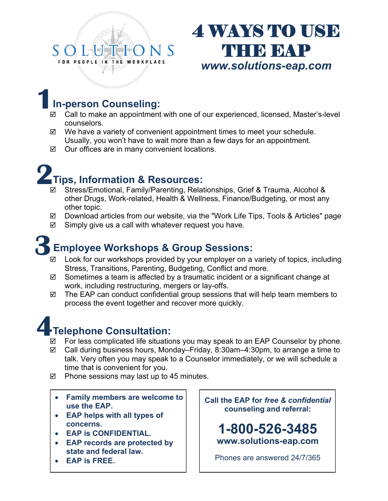# FOR PEOPLE IN ORKPLACE

## **4 WAYS TO USE THE EAP** *www.solutions-eap.com*

## **1In-person Counseling:**

- $\boxtimes$  Call to make an appointment with one of our experienced, licensed, Master's-level counselors.
- $\boxtimes$  We have a variety of convenient appointment times to meet your schedule. Usually, you won't have to wait more than a few days for an appointment.
- $\boxtimes$  Our offices are in many convenient locations.

## **2Tips, Information & Resources:**

- Stress/Emotional, Family/Parenting, Relationships, Grief & Trauma, Alcohol & other Drugs, Work-related, Health & Wellness, Finance/Budgeting, or most any other topic.
- Download articles from our website, via the "Work Life Tips, Tools & Articles" page
- $\boxtimes$  Simply give us a call with whatever request you have.

## **3Employee Workshops & Group Sessions:**

- $\boxtimes$  Look for our workshops provided by your employer on a variety of topics, including Stress, Transitions, Parenting, Budgeting, Conflict and more.
- $\boxtimes$  Sometimes a team is affected by a traumatic incident or a significant change at work, including restructuring, mergers or lay-offs.
- $\boxtimes$  The EAP can conduct confidential group sessions that will help team members to process the event together and recover more quickly.



For less complicated life situations you may speak to an EAP Counselor by phone.

- Call during business hours, Monday–Friday, 8:30am–4:30pm, to arrange a time to talk. Very often you may speak to a Counselor immediately, or we will schedule a time that is convenient for you.
- $\boxtimes$  Phone sessions may last up to 45 minutes.
	- **Family members are welcome to use the EAP.**
	- **EAP helps with all types of concerns.**
	- **EAP is CONFIDENTIAL.**
	- **EAP records are protected by state and federal law.**
	- **EAP is FREE.**

**Call the EAP for** *free & confidential*  **counseling and referral:** 

**1-800-526-3485 www.solutions-eap.com**

Phones are answered 24/7/365